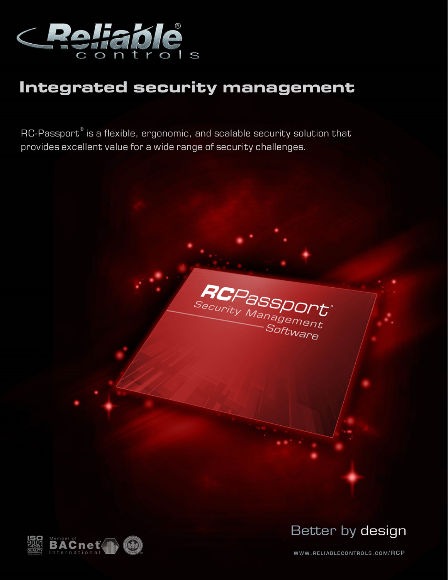

# **Integrated security management**

 $\mathsf{RC}\text{-}\mathsf{Passport}^\circ$  is a flexible, ergonomic, and scalable security solution that provides excellent value for a wide range of security challenges.





Better by design

**W W W . RE L I ABLE CO N T RO LS. CO M/ R CP**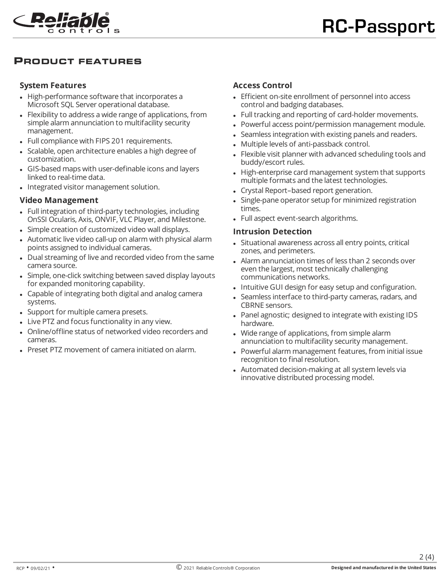

# **PRODUCT FEATURES**

#### **System Features**

- High-performance software that incorporates a Microsoft SQL Server operational database.
- Flexibility to address a wide range of applications, from simple alarm annunciation to multifacility security management.
- Full compliance with FIPS 201 requirements.
- Scalable, open architecture enables a high degree of customization.
- <sup>l</sup> GIS-based maps with user-definable icons and layers linked to real-time data.
- Integrated visitor management solution.

#### **Video Management**

- Full integration of third-party technologies, including OnSSI Ocularis, Axis, ONVIF, VLC Player, and Milestone.
- Simple creation of customized video wall displays.
- Automatic live video call-up on alarm with physical alarm points assigned to individual cameras.
- Dual streaming of live and recorded video from the same camera source.
- Simple, one-click switching between saved display layouts for expanded monitoring capability.
- Capable of integrating both digital and analog camera systems.
- Support for multiple camera presets.
- Live PTZ and focus functionality in any view.
- <sup>l</sup> Online/offline status of networked video recorders and cameras.
- Preset PTZ movement of camera initiated on alarm.

## **Access Control**

- Efficient on-site enrollment of personnel into access control and badging databases.
- Full tracking and reporting of card-holder movements.
- Powerful access point/permission management module.
- Seamless integration with existing panels and readers.
- Multiple levels of anti-passback control.
- Flexible visit planner with advanced scheduling tools and buddy/escort rules.
- High-enterprise card management system that supports multiple formats and the latest technologies.
- Crystal Report–based report generation.
- Single-pane operator setup for minimized registration times.
- Full aspect event-search algorithms.

#### **Intrusion Detection**

- Situational awareness across all entry points, critical zones, and perimeters.
- Alarm annunciation times of less than 2 seconds over even the largest, most technically challenging communications networks.
- Intuitive GUI design for easy setup and configuration.
- Seamless interface to third-party cameras, radars, and CBRNE sensors.
- Panel agnostic; designed to integrate with existing IDS hardware.
- Wide range of applications, from simple alarm annunciation to multifacility security management.
- Powerful alarm management features, from initial issue recognition to final resolution.
- Automated decision-making at all system levels via innovative distributed processing model.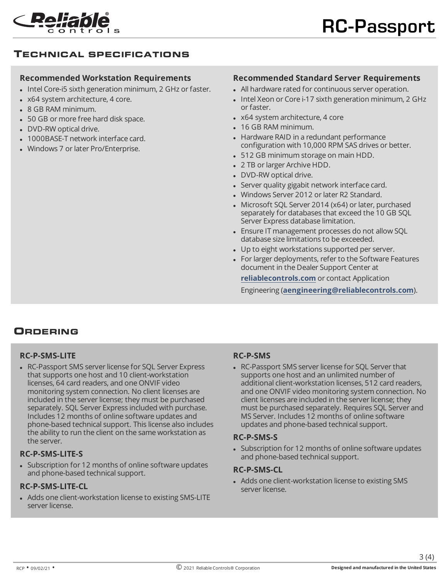

# **TECHNICAL SPECIFICATIONS**

### **Recommended Workstation Requirements**

- Intel Core-i5 sixth generation minimum, 2 GHz or faster.
- x64 system architecture, 4 core.
- 8 GB RAM minimum.
- 50 GB or more free hard disk space.
- DVD-RW optical drive.
- 1000BASE-T network interface card.
- Windows 7 or later Pro/Enterprise.

# **Recommended Standard Server Requirements**

- All hardware rated for continuous server operation.
- Intel Xeon or Core i-17 sixth generation minimum, 2 GHz or faster.
- $\bullet$  x64 system architecture, 4 core
- 16 GB RAM minimum.
- Hardware RAID in a redundant performance configuration with 10,000 RPM SAS drives or better.
- 512 GB minimum storage on main HDD.
- 2 TB or larger Archive HDD.
- DVD-RW optical drive.
- Server quality gigabit network interface card.
- Windows Server 2012 or later R2 Standard.
- Microsoft SQL Server 2014 (x64) or later, purchased separately for databases that exceed the 10 GB SQL Server Express database limitation.
- Ensure IT management processes do not allow SQL database size limitations to be exceeded.
- Up to eight workstations supported per server.
- For larger deployments, refer to the Software Features document in the Dealer Support Center at

**[reliablecontrols.com](https://www.reliablecontrols.com/support/engineer/features.php)** or contact Application

Engineering (**[aengineering@reliablecontrols.com](mailto:aengineering@reliablecontrols.com)**).

# **ORDERING**

## **RC-P-SMS-LITE**

• RC-Passport SMS server license for SQL Server Express that supports one host and 10 client-workstation licenses, 64 card readers, and one ONVIF video monitoring system connection. No client licenses are included in the server license; they must be purchased separately. SQL Server Express included with purchase. Includes 12 months of online software updates and phone-based technical support. This license also includes the ability to run the client on the same workstation as the server.

## **RC-P-SMS-LITE-S**

• Subscription for 12 months of online software updates and phone-based technical support.

# **RC-P-SMS-LITE-CL**

• Adds one client-workstation license to existing SMS-LITE server license.

## **RC-P-SMS**

• RC-Passport SMS server license for SQL Server that supports one host and an unlimited number of additional client-workstation licenses, 512 card readers, and one ONVIF video monitoring system connection. No client licenses are included in the server license; they must be purchased separately. Requires SQL Server and MS Server. Includes 12 months of online software updates and phone-based technical support.

#### **RC-P-SMS-S**

• Subscription for 12 months of online software updates and phone-based technical support.

#### **RC-P-SMS-CL**

• Adds one client-workstation license to existing SMS server license.